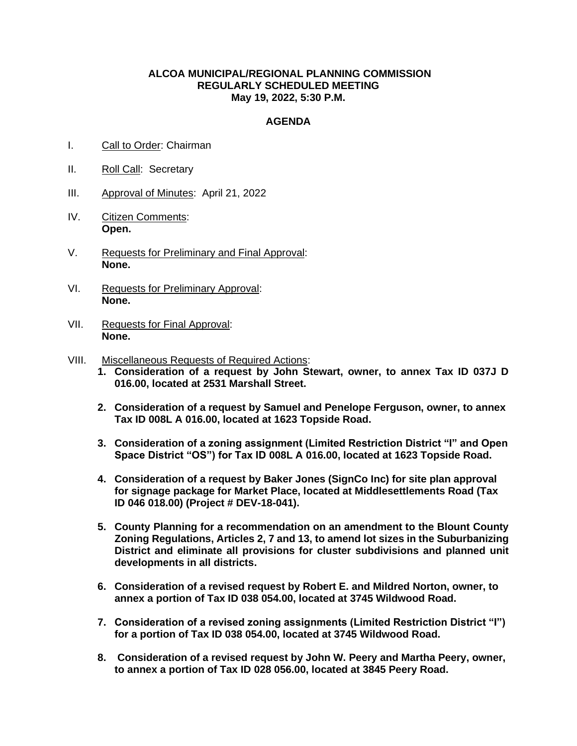## **ALCOA MUNICIPAL/REGIONAL PLANNING COMMISSION REGULARLY SCHEDULED MEETING May 19, 2022, 5:30 P.M.**

## **AGENDA**

- I. Call to Order: Chairman
- II. Roll Call: Secretary
- III. Approval of Minutes: April 21, 2022
- IV. Citizen Comments: **Open.**
- V. Requests for Preliminary and Final Approval: **None.**
- VI. Requests for Preliminary Approval: **None.**
- VII. Requests for Final Approval: **None.**
- VIII. Miscellaneous Requests of Required Actions:
	- **1. Consideration of a request by John Stewart, owner, to annex Tax ID 037J D 016.00, located at 2531 Marshall Street.**
	- **2. Consideration of a request by Samuel and Penelope Ferguson, owner, to annex Tax ID 008L A 016.00, located at 1623 Topside Road.**
	- **3. Consideration of a zoning assignment (Limited Restriction District "I" and Open Space District "OS") for Tax ID 008L A 016.00, located at 1623 Topside Road.**
	- **4. Consideration of a request by Baker Jones (SignCo Inc) for site plan approval for signage package for Market Place, located at Middlesettlements Road (Tax ID 046 018.00) (Project # DEV-18-041).**
	- **5. County Planning for a recommendation on an amendment to the Blount County Zoning Regulations, Articles 2, 7 and 13, to amend lot sizes in the Suburbanizing District and eliminate all provisions for cluster subdivisions and planned unit developments in all districts.**
	- **6. Consideration of a revised request by Robert E. and Mildred Norton, owner, to annex a portion of Tax ID 038 054.00, located at 3745 Wildwood Road.**
	- **7. Consideration of a revised zoning assignments (Limited Restriction District "I") for a portion of Tax ID 038 054.00, located at 3745 Wildwood Road.**
	- **8. Consideration of a revised request by John W. Peery and Martha Peery, owner, to annex a portion of Tax ID 028 056.00, located at 3845 Peery Road.**